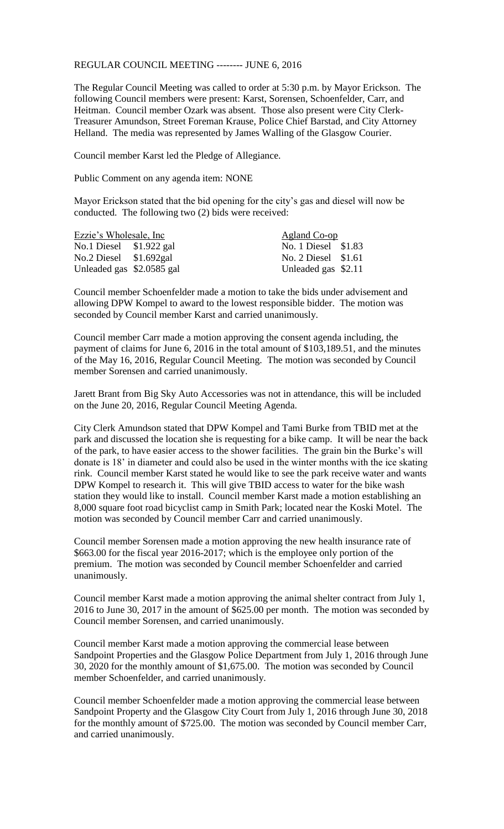REGULAR COUNCIL MEETING -------- JUNE 6, 2016

The Regular Council Meeting was called to order at 5:30 p.m. by Mayor Erickson. The following Council members were present: Karst, Sorensen, Schoenfelder, Carr, and Heitman. Council member Ozark was absent. Those also present were City Clerk-Treasurer Amundson, Street Foreman Krause, Police Chief Barstad, and City Attorney Helland. The media was represented by James Walling of the Glasgow Courier.

Council member Karst led the Pledge of Allegiance.

Public Comment on any agenda item: NONE

Mayor Erickson stated that the bid opening for the city's gas and diesel will now be conducted. The following two (2) bids were received:

| Ezzie's Wholesale, Inc.   |  | Agland Co-op        |  |
|---------------------------|--|---------------------|--|
| No.1 Diesel $$1.922$ gal  |  | No. 1 Diesel \$1.83 |  |
| No.2 Diesel $$1.692$ gal  |  | No. 2 Diesel \$1.61 |  |
| Unleaded gas \$2.0585 gal |  | Unleaded gas \$2.11 |  |

Council member Schoenfelder made a motion to take the bids under advisement and allowing DPW Kompel to award to the lowest responsible bidder. The motion was seconded by Council member Karst and carried unanimously.

Council member Carr made a motion approving the consent agenda including, the payment of claims for June 6, 2016 in the total amount of \$103,189.51, and the minutes of the May 16, 2016, Regular Council Meeting. The motion was seconded by Council member Sorensen and carried unanimously.

Jarett Brant from Big Sky Auto Accessories was not in attendance, this will be included on the June 20, 2016, Regular Council Meeting Agenda.

City Clerk Amundson stated that DPW Kompel and Tami Burke from TBID met at the park and discussed the location she is requesting for a bike camp. It will be near the back of the park, to have easier access to the shower facilities. The grain bin the Burke's will donate is 18' in diameter and could also be used in the winter months with the ice skating rink. Council member Karst stated he would like to see the park receive water and wants DPW Kompel to research it. This will give TBID access to water for the bike wash station they would like to install. Council member Karst made a motion establishing an 8,000 square foot road bicyclist camp in Smith Park; located near the Koski Motel. The motion was seconded by Council member Carr and carried unanimously.

Council member Sorensen made a motion approving the new health insurance rate of \$663.00 for the fiscal year 2016-2017; which is the employee only portion of the premium. The motion was seconded by Council member Schoenfelder and carried unanimously.

Council member Karst made a motion approving the animal shelter contract from July 1, 2016 to June 30, 2017 in the amount of \$625.00 per month. The motion was seconded by Council member Sorensen, and carried unanimously.

Council member Karst made a motion approving the commercial lease between Sandpoint Properties and the Glasgow Police Department from July 1, 2016 through June 30, 2020 for the monthly amount of \$1,675.00. The motion was seconded by Council member Schoenfelder, and carried unanimously.

Council member Schoenfelder made a motion approving the commercial lease between Sandpoint Property and the Glasgow City Court from July 1, 2016 through June 30, 2018 for the monthly amount of \$725.00. The motion was seconded by Council member Carr, and carried unanimously.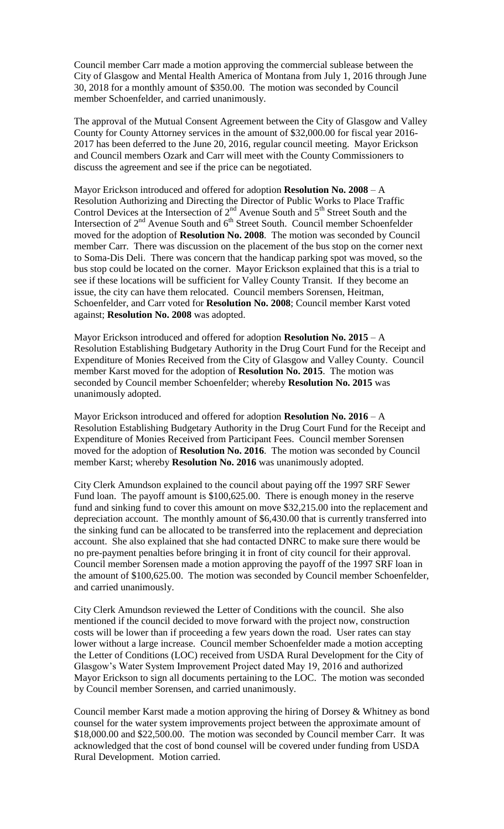Council member Carr made a motion approving the commercial sublease between the City of Glasgow and Mental Health America of Montana from July 1, 2016 through June 30, 2018 for a monthly amount of \$350.00. The motion was seconded by Council member Schoenfelder, and carried unanimously.

The approval of the Mutual Consent Agreement between the City of Glasgow and Valley County for County Attorney services in the amount of \$32,000.00 for fiscal year 2016- 2017 has been deferred to the June 20, 2016, regular council meeting. Mayor Erickson and Council members Ozark and Carr will meet with the County Commissioners to discuss the agreement and see if the price can be negotiated.

Mayor Erickson introduced and offered for adoption **Resolution No. 2008** – A Resolution Authorizing and Directing the Director of Public Works to Place Traffic Control Devices at the Intersection of  $2<sup>nd</sup>$  Avenue South and  $5<sup>th</sup>$  Street South and the Intersection of  $2<sup>nd</sup>$  Avenue South and  $6<sup>th</sup>$  Street South. Council member Schoenfelder moved for the adoption of **Resolution No. 2008**. The motion was seconded by Council member Carr. There was discussion on the placement of the bus stop on the corner next to Soma-Dis Deli. There was concern that the handicap parking spot was moved, so the bus stop could be located on the corner. Mayor Erickson explained that this is a trial to see if these locations will be sufficient for Valley County Transit. If they become an issue, the city can have them relocated. Council members Sorensen, Heitman, Schoenfelder, and Carr voted for **Resolution No. 2008**; Council member Karst voted against; **Resolution No. 2008** was adopted.

Mayor Erickson introduced and offered for adoption **Resolution No. 2015** – A Resolution Establishing Budgetary Authority in the Drug Court Fund for the Receipt and Expenditure of Monies Received from the City of Glasgow and Valley County. Council member Karst moved for the adoption of **Resolution No. 2015**. The motion was seconded by Council member Schoenfelder; whereby **Resolution No. 2015** was unanimously adopted.

Mayor Erickson introduced and offered for adoption **Resolution No. 2016** – A Resolution Establishing Budgetary Authority in the Drug Court Fund for the Receipt and Expenditure of Monies Received from Participant Fees. Council member Sorensen moved for the adoption of **Resolution No. 2016**. The motion was seconded by Council member Karst; whereby **Resolution No. 2016** was unanimously adopted.

City Clerk Amundson explained to the council about paying off the 1997 SRF Sewer Fund loan. The payoff amount is \$100,625.00. There is enough money in the reserve fund and sinking fund to cover this amount on move \$32,215.00 into the replacement and depreciation account. The monthly amount of \$6,430.00 that is currently transferred into the sinking fund can be allocated to be transferred into the replacement and depreciation account. She also explained that she had contacted DNRC to make sure there would be no pre-payment penalties before bringing it in front of city council for their approval. Council member Sorensen made a motion approving the payoff of the 1997 SRF loan in the amount of \$100,625.00. The motion was seconded by Council member Schoenfelder, and carried unanimously.

City Clerk Amundson reviewed the Letter of Conditions with the council. She also mentioned if the council decided to move forward with the project now, construction costs will be lower than if proceeding a few years down the road. User rates can stay lower without a large increase. Council member Schoenfelder made a motion accepting the Letter of Conditions (LOC) received from USDA Rural Development for the City of Glasgow's Water System Improvement Project dated May 19, 2016 and authorized Mayor Erickson to sign all documents pertaining to the LOC. The motion was seconded by Council member Sorensen, and carried unanimously.

Council member Karst made a motion approving the hiring of Dorsey & Whitney as bond counsel for the water system improvements project between the approximate amount of \$18,000.00 and \$22,500.00. The motion was seconded by Council member Carr. It was acknowledged that the cost of bond counsel will be covered under funding from USDA Rural Development. Motion carried.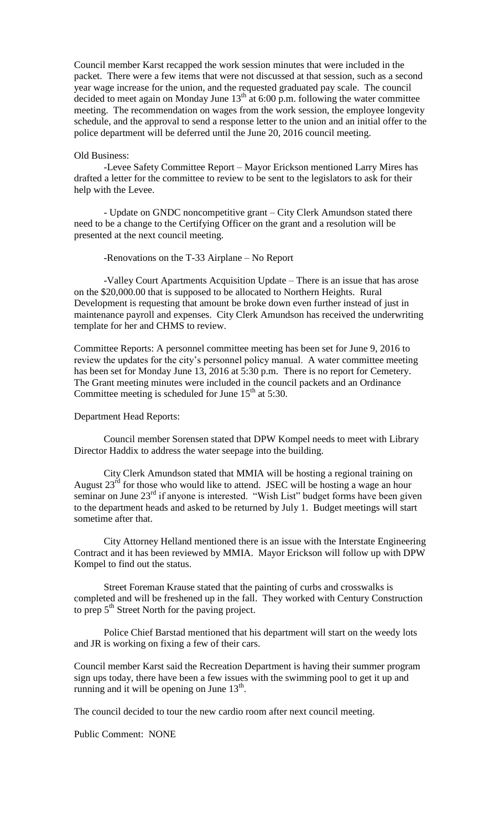Council member Karst recapped the work session minutes that were included in the packet. There were a few items that were not discussed at that session, such as a second year wage increase for the union, and the requested graduated pay scale. The council decided to meet again on Monday June  $13<sup>th</sup>$  at 6:00 p.m. following the water committee meeting. The recommendation on wages from the work session, the employee longevity schedule, and the approval to send a response letter to the union and an initial offer to the police department will be deferred until the June 20, 2016 council meeting.

## Old Business:

-Levee Safety Committee Report – Mayor Erickson mentioned Larry Mires has drafted a letter for the committee to review to be sent to the legislators to ask for their help with the Levee.

- Update on GNDC noncompetitive grant – City Clerk Amundson stated there need to be a change to the Certifying Officer on the grant and a resolution will be presented at the next council meeting.

-Renovations on the T-33 Airplane – No Report

-Valley Court Apartments Acquisition Update – There is an issue that has arose on the \$20,000.00 that is supposed to be allocated to Northern Heights. Rural Development is requesting that amount be broke down even further instead of just in maintenance payroll and expenses. City Clerk Amundson has received the underwriting template for her and CHMS to review.

Committee Reports: A personnel committee meeting has been set for June 9, 2016 to review the updates for the city's personnel policy manual. A water committee meeting has been set for Monday June 13, 2016 at 5:30 p.m. There is no report for Cemetery. The Grant meeting minutes were included in the council packets and an Ordinance Committee meeting is scheduled for June  $15<sup>th</sup>$  at 5:30.

## Department Head Reports:

Council member Sorensen stated that DPW Kompel needs to meet with Library Director Haddix to address the water seepage into the building.

City Clerk Amundson stated that MMIA will be hosting a regional training on August  $23^{rd}$  for those who would like to attend. JSEC will be hosting a wage an hour seminar on June 23<sup>rd</sup> if anyone is interested. "Wish List" budget forms have been given to the department heads and asked to be returned by July 1. Budget meetings will start sometime after that.

City Attorney Helland mentioned there is an issue with the Interstate Engineering Contract and it has been reviewed by MMIA. Mayor Erickson will follow up with DPW Kompel to find out the status.

Street Foreman Krause stated that the painting of curbs and crosswalks is completed and will be freshened up in the fall. They worked with Century Construction to prep  $5<sup>th</sup>$  Street North for the paving project.

Police Chief Barstad mentioned that his department will start on the weedy lots and JR is working on fixing a few of their cars.

Council member Karst said the Recreation Department is having their summer program sign ups today, there have been a few issues with the swimming pool to get it up and running and it will be opening on June  $13<sup>th</sup>$ .

The council decided to tour the new cardio room after next council meeting.

Public Comment: NONE